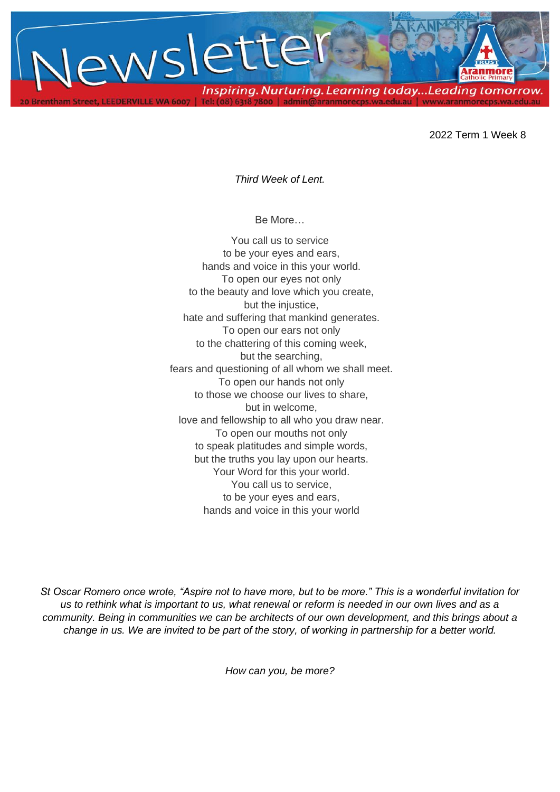

2022 Term 1 Week 8

*Third Week of Lent.* 

Be More…

You call us to service to be your eyes and ears, hands and voice in this your world. To open our eyes not only to the beauty and love which you create, but the injustice, hate and suffering that mankind generates. To open our ears not only to the chattering of this coming week, but the searching, fears and questioning of all whom we shall meet. To open our hands not only to those we choose our lives to share, but in welcome, love and fellowship to all who you draw near. To open our mouths not only to speak platitudes and simple words, but the truths you lay upon our hearts. Your Word for this your world. You call us to service, to be your eyes and ears, hands and voice in this your world

*St Oscar Romero once wrote, "Aspire not to have more, but to be more." This is a wonderful invitation for us to rethink what is important to us, what renewal or reform is needed in our own lives and as a community. Being in communities we can be architects of our own development, and this brings about a change in us. We are invited to be part of the story, of working in partnership for a better world.*

*How can you, be more?*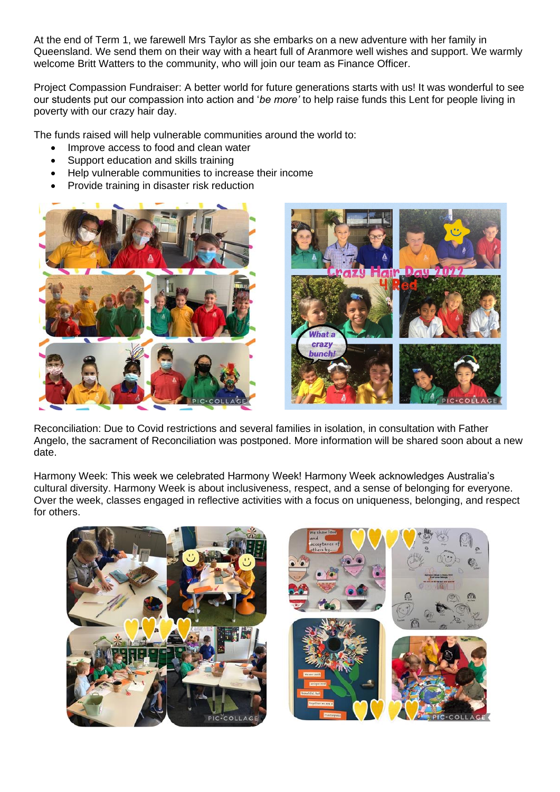At the end of Term 1, we farewell Mrs Taylor as she embarks on a new adventure with her family in Queensland. We send them on their way with a heart full of Aranmore well wishes and support. We warmly welcome Britt Watters to the community, who will join our team as Finance Officer.

Project Compassion Fundraiser: A better world for future generations starts with us! It was wonderful to see our students put our compassion into action and '*be more'* to help raise funds this Lent for people living in poverty with our crazy hair day.

The funds raised will help vulnerable communities around the world to:

- Improve access to food and clean water
- Support education and skills training
- Help vulnerable communities to increase their income
- Provide training in disaster risk reduction



Reconciliation: Due to Covid restrictions and several families in isolation, in consultation with Father Angelo, the sacrament of Reconciliation was postponed. More information will be shared soon about a new date.

Harmony Week: This week we celebrated Harmony Week! Harmony Week acknowledges Australia's cultural diversity. Harmony Week is about inclusiveness, respect, and a sense of belonging for everyone. Over the week, classes engaged in reflective activities with a focus on uniqueness, belonging, and respect for others.

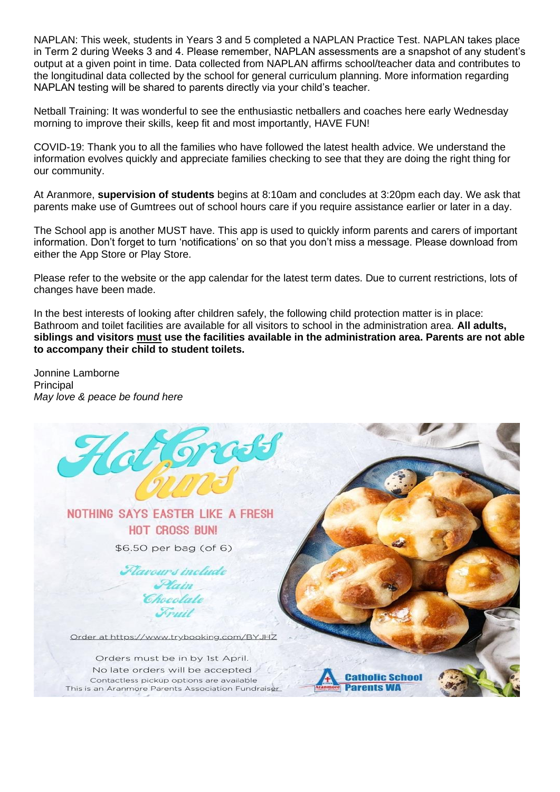NAPLAN: This week, students in Years 3 and 5 completed a NAPLAN Practice Test. NAPLAN takes place in Term 2 during Weeks 3 and 4. Please remember, NAPLAN assessments are a snapshot of any student's output at a given point in time. Data collected from NAPLAN affirms school/teacher data and contributes to the longitudinal data collected by the school for general curriculum planning. More information regarding NAPLAN testing will be shared to parents directly via your child's teacher.

Netball Training: It was wonderful to see the enthusiastic netballers and coaches here early Wednesday morning to improve their skills, keep fit and most importantly, HAVE FUN!

COVID-19: Thank you to all the families who have followed the latest health advice. We understand the information evolves quickly and appreciate families checking to see that they are doing the right thing for our community.

At Aranmore, **supervision of students** begins at 8:10am and concludes at 3:20pm each day. We ask that parents make use of Gumtrees out of school hours care if you require assistance earlier or later in a day.

The School app is another MUST have. This app is used to quickly inform parents and carers of important information. Don't forget to turn 'notifications' on so that you don't miss a message. Please download from either the App Store or Play Store.

Please refer to the website or the app calendar for the latest term dates. Due to current restrictions, lots of changes have been made.

In the best interests of looking after children safely, the following child protection matter is in place: Bathroom and toilet facilities are available for all visitors to school in the administration area. **All adults, siblings and visitors must use the facilities available in the administration area. Parents are not able to accompany their child to student toilets.**

Jonnine Lamborne Principal *May love & peace be found here*